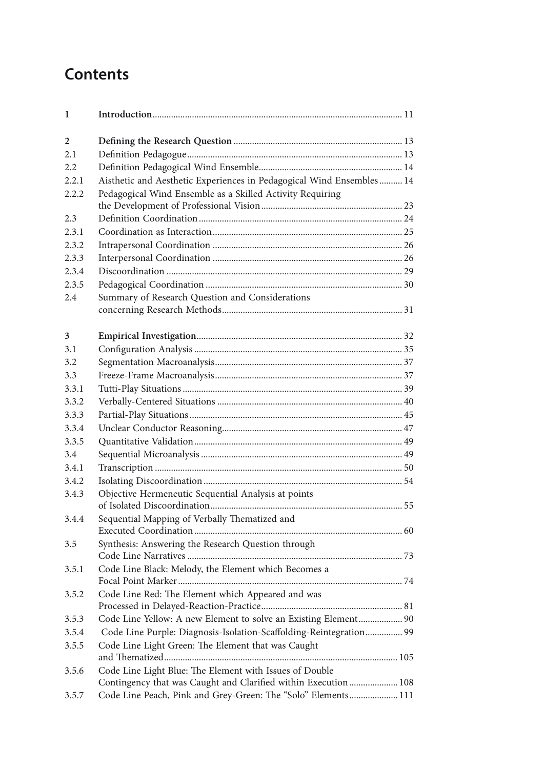## **Contents**

| 1              |                                                                                                                           |  |
|----------------|---------------------------------------------------------------------------------------------------------------------------|--|
| $\overline{2}$ |                                                                                                                           |  |
| 2.1            |                                                                                                                           |  |
| 2.2            |                                                                                                                           |  |
| 2.2.1          | Aisthetic and Aesthetic Experiences in Pedagogical Wind Ensembles 14                                                      |  |
| 2.2.2          | Pedagogical Wind Ensemble as a Skilled Activity Requiring                                                                 |  |
|                |                                                                                                                           |  |
| 2.3            |                                                                                                                           |  |
| 231            |                                                                                                                           |  |
| 2.3.2          |                                                                                                                           |  |
| 2.3.3          |                                                                                                                           |  |
| 2.3.4          |                                                                                                                           |  |
| 2.3.5          |                                                                                                                           |  |
| 2.4            | Summary of Research Question and Considerations                                                                           |  |
| 3              |                                                                                                                           |  |
| 3.1            |                                                                                                                           |  |
| 3.2            |                                                                                                                           |  |
| 3.3            |                                                                                                                           |  |
| 3.3.1          |                                                                                                                           |  |
| 3.3.2          |                                                                                                                           |  |
| 3.3.3          |                                                                                                                           |  |
| 3.3.4          |                                                                                                                           |  |
| 3.3.5          |                                                                                                                           |  |
| 3.4            |                                                                                                                           |  |
| 3.4.1          |                                                                                                                           |  |
| 3.4.2          |                                                                                                                           |  |
| 3.4.3          | Objective Hermeneutic Sequential Analysis at points                                                                       |  |
| 3.4.4          | Sequential Mapping of Verbally Thematized and                                                                             |  |
|                |                                                                                                                           |  |
| 3.5            | Synthesis: Answering the Research Question through                                                                        |  |
| 3.5.1          | Code Line Black: Melody, the Element which Becomes a                                                                      |  |
| 3.5.2          | Code Line Red: The Element which Appeared and was                                                                         |  |
| 3.5.3          | Code Line Yellow: A new Element to solve an Existing Element 90                                                           |  |
| 3.5.4          | Code Line Purple: Diagnosis-Isolation-Scaffolding-Reintegration 99                                                        |  |
| 3.5.5          | Code Line Light Green: The Element that was Caught                                                                        |  |
| 3.5.6          | Code Line Light Blue: The Element with Issues of Double<br>Contingency that was Caught and Clarified within Execution 108 |  |
| 3.5.7          | Code Line Peach, Pink and Grey-Green: The "Solo" Elements 111                                                             |  |
|                |                                                                                                                           |  |